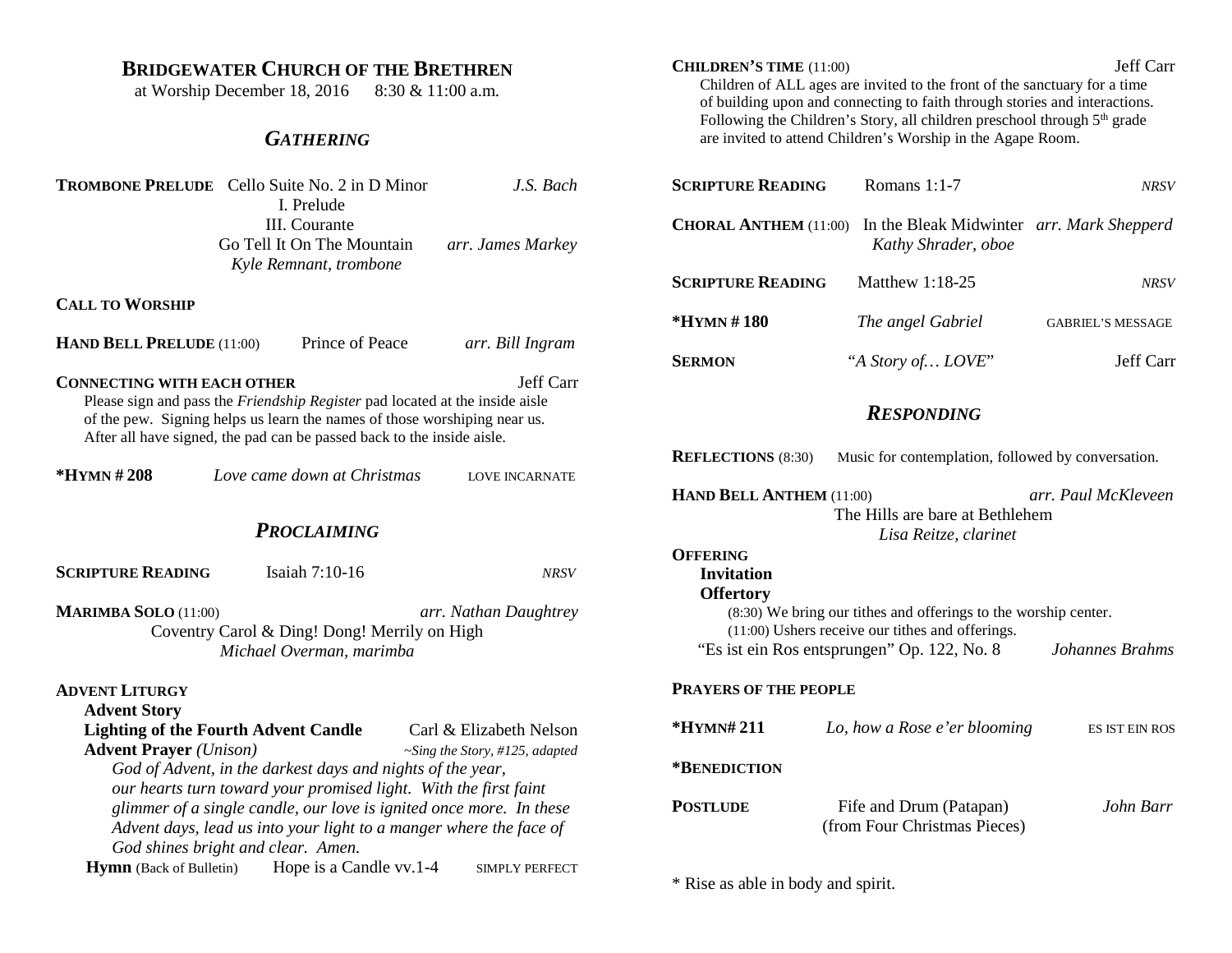| <b>BRIDGEWATER CHURCH OF THE BRETHREN</b><br>at Worship December 18, 2016<br>8:30 & 11:00 a.m.                                                                                                                                                                                        | Jeff Carr<br><b>CHILDREN'S TIME</b> (11:00)<br>Children of ALL ages are invited to the front of the sanctuary for a time<br>of building upon and connecting to faith through stories and interactions.<br>Following the Children's Story, all children preschool through 5 <sup>th</sup> grade<br>are invited to attend Children's Worship in the Agape Room. |                                                                  |                          |
|---------------------------------------------------------------------------------------------------------------------------------------------------------------------------------------------------------------------------------------------------------------------------------------|---------------------------------------------------------------------------------------------------------------------------------------------------------------------------------------------------------------------------------------------------------------------------------------------------------------------------------------------------------------|------------------------------------------------------------------|--------------------------|
| <b>GATHERING</b>                                                                                                                                                                                                                                                                      |                                                                                                                                                                                                                                                                                                                                                               |                                                                  |                          |
| <b>TROMBONE PRELUDE</b> Cello Suite No. 2 in D Minor<br>J.S. Bach<br>I. Prelude                                                                                                                                                                                                       | <b>SCRIPTURE READING</b>                                                                                                                                                                                                                                                                                                                                      | Romans 1:1-7                                                     | <b>NRSV</b>              |
| III. Courante<br>Go Tell It On The Mountain<br>arr. James Markey<br>Kyle Remnant, trombone                                                                                                                                                                                            | <b>CHORAL ANTHEM (11:00)</b>                                                                                                                                                                                                                                                                                                                                  | In the Bleak Midwinter arr. Mark Shepperd<br>Kathy Shrader, oboe |                          |
|                                                                                                                                                                                                                                                                                       | <b>SCRIPTURE READING</b>                                                                                                                                                                                                                                                                                                                                      | Matthew 1:18-25                                                  | <b>NRSV</b>              |
| <b>CALL TO WORSHIP</b>                                                                                                                                                                                                                                                                | *HYMN#180                                                                                                                                                                                                                                                                                                                                                     | The angel Gabriel                                                | <b>GABRIEL'S MESSAGE</b> |
| Prince of Peace<br><b>HAND BELL PRELUDE (11:00)</b><br>arr. Bill Ingram                                                                                                                                                                                                               | <b>SERMON</b>                                                                                                                                                                                                                                                                                                                                                 | "A Story of LOVE"                                                | Jeff Carr                |
| Jeff Carr<br><b>CONNECTING WITH EACH OTHER</b><br>Please sign and pass the Friendship Register pad located at the inside aisle<br>of the pew. Signing helps us learn the names of those worshiping near us.<br>After all have signed, the pad can be passed back to the inside aisle. |                                                                                                                                                                                                                                                                                                                                                               | <b>RESPONDING</b>                                                |                          |
| *HYMN#208<br>Love came down at Christmas<br><b>LOVE INCARNATE</b>                                                                                                                                                                                                                     | <b>REFLECTIONS</b> (8:30)                                                                                                                                                                                                                                                                                                                                     | Music for contemplation, followed by conversation.               |                          |
|                                                                                                                                                                                                                                                                                       | HAND BELL ANTHEM (11:00)<br>arr. Paul McKleveen<br>The Hills are bare at Bethlehem                                                                                                                                                                                                                                                                            |                                                                  |                          |
| <b>PROCLAIMING</b>                                                                                                                                                                                                                                                                    | <b>OFFERING</b>                                                                                                                                                                                                                                                                                                                                               | Lisa Reitze, clarinet                                            |                          |
| <b>SCRIPTURE READING</b><br>Isaiah 7:10-16<br><b>NRSV</b>                                                                                                                                                                                                                             | <b>Invitation</b><br><b>Offertory</b>                                                                                                                                                                                                                                                                                                                         |                                                                  |                          |
| <b>MARIMBA SOLO (11:00)</b><br>arr. Nathan Daughtrey<br>Coventry Carol & Ding! Dong! Merrily on High                                                                                                                                                                                  | (8:30) We bring our tithes and offerings to the worship center.<br>(11:00) Ushers receive our tithes and offerings.<br>"Es ist ein Ros entsprungen" Op. 122, No. 8                                                                                                                                                                                            |                                                                  |                          |
| Michael Overman, marimba                                                                                                                                                                                                                                                              |                                                                                                                                                                                                                                                                                                                                                               |                                                                  | Johannes Brahms          |
| <b>ADVENT LITURGY</b><br><b>Advent Story</b>                                                                                                                                                                                                                                          | <b>PRAYERS OF THE PEOPLE</b>                                                                                                                                                                                                                                                                                                                                  |                                                                  |                          |
| <b>Lighting of the Fourth Advent Candle</b><br>Carl & Elizabeth Nelson                                                                                                                                                                                                                | *HYMN#211                                                                                                                                                                                                                                                                                                                                                     | Lo, how a Rose e'er blooming                                     | <b>ES IST EIN ROS</b>    |
| <b>Advent Prayer</b> (Unison)<br>$\sim$ Sing the Story, #125, adapted<br>God of Advent, in the darkest days and nights of the year,<br>our hearts turn toward your promised light. With the first faint                                                                               | *BENEDICTION                                                                                                                                                                                                                                                                                                                                                  |                                                                  |                          |
| glimmer of a single candle, our love is ignited once more. In these<br>Advent days, lead us into your light to a manger where the face of<br>God shines bright and clear. Amen.                                                                                                       | <b>POSTLUDE</b>                                                                                                                                                                                                                                                                                                                                               | Fife and Drum (Patapan)<br>(from Four Christmas Pieces)          | John Barr                |
| <b>Hymn</b> (Back of Bulletin)<br>Hope is a Candle vv.1-4<br><b>SIMPLY PERFECT</b>                                                                                                                                                                                                    |                                                                                                                                                                                                                                                                                                                                                               |                                                                  |                          |

\* Rise as able in body and spirit.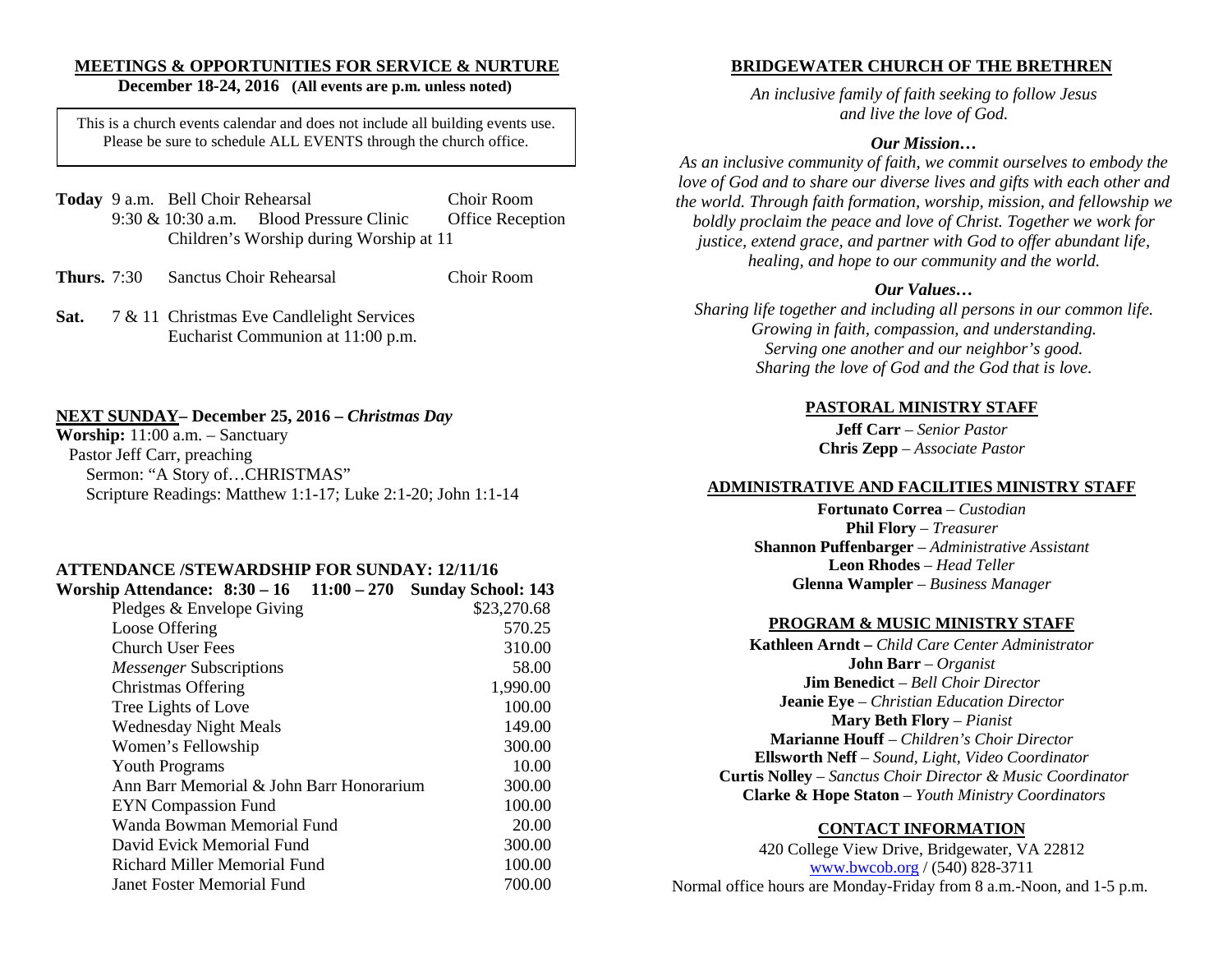# **MEETINGS & OPPORTUNITIES FOR SERVICE & NURTURE**

# **December 18-24, 2016 (All events are p.m. unless noted)**

This is a church events calendar and does not include all building events use. Please be sure to schedule ALL EVENTS through the church office.

- **Today** 9 a.m. Bell Choir Rehearsal Choir Room 9:30 & 10:30 a.m. Blood Pressure Clinic Office Reception Children's Worship during Worship at 11
- **Thurs.** 7:30 Sanctus Choir Rehearsal Choir Room
- Sat. 7 & 11 Christmas Eve Candlelight Services Eucharist Communion at 11:00 p.m.

#### **NEXT SUNDAY– December 25, 2016 –** *Christmas Day*

**Worship:** 11:00 a.m. – Sanctuary Pastor Jeff Carr, preaching Sermon: "A Story of…CHRISTMAS" Scripture Readings: Matthew 1:1-17; Luke 2:1-20; John 1:1-14

#### **ATTENDANCE /STEWARDSHIP FOR SUNDAY: 12/11/16**

| Worship Attendance: 8:30 – 16 11:00 – 270 | <b>Sunday School: 143</b> |
|-------------------------------------------|---------------------------|
| Pledges & Envelope Giving                 | \$23,270.68               |
| Loose Offering                            | 570.25                    |
| Church User Fees                          | 310.00                    |
| <i>Messenger</i> Subscriptions            | 58.00                     |
| Christmas Offering                        | 1,990.00                  |
| Tree Lights of Love                       | 100.00                    |
| <b>Wednesday Night Meals</b>              | 149.00                    |
| Women's Fellowship                        | 300.00                    |
| <b>Youth Programs</b>                     | 10.00                     |
| Ann Barr Memorial & John Barr Honorarium  | 300.00                    |
| <b>EYN</b> Compassion Fund                | 100.00                    |
| Wanda Bowman Memorial Fund                | 20.00                     |
| David Evick Memorial Fund                 | 300.00                    |
| Richard Miller Memorial Fund              | 100.00                    |
| Janet Foster Memorial Fund                | 700.00                    |
|                                           |                           |

# **BRIDGEWATER CHURCH OF THE BRETHREN**

*An inclusive family of faith seeking to follow Jesus and live the love of God.*

#### *Our Mission…*

*As an inclusive community of faith, we commit ourselves to embody the*  love of God and to share our diverse lives and gifts with each other and *the world. Through faith formation, worship, mission, and fellowship we boldly proclaim the peace and love of Christ. Together we work for justice, extend grace, and partner with God to offer abundant life, healing, and hope to our community and the world.*

#### *Our Values…*

*Sharing life together and including all persons in our common life. Growing in faith, compassion, and understanding. Serving one another and our neighbor's good. Sharing the love of God and the God that is love.*

# **PASTORAL MINISTRY STAFF**

**Jeff Carr** *– Senior Pastor*  **Chris Zepp** – *Associate Pastor*

#### **ADMINISTRATIVE AND FACILITIES MINISTRY STAFF**

**Fortunato Correa** – *Custodian*  **Phil Flory** – *Treasurer* **Shannon Puffenbarger** – *Administrative Assistant*  **Leon Rhodes** – *Head Teller* **Glenna Wampler** – *Business Manager*

#### **PROGRAM & MUSIC MINISTRY STAFF**

**Kathleen Arndt –** *Child Care Center Administrator* **John Barr** – *Organist*  **Jim Benedict** – *Bell Choir Director* **Jeanie Eye** – *Christian Education Director* **Mary Beth Flory** – *Pianist* **Marianne Houff** – *Children's Choir Director* **Ellsworth Neff** – *Sound, Light, Video Coordinator* **Curtis Nolley** – *Sanctus Choir Director & Music Coordinator* **Clarke & Hope Staton** *– Youth Ministry Coordinators* 

#### **CONTACT INFORMATION**

420 College View Drive, Bridgewater, VA 22812 [www.bwcob.org](http://www.bwcob.org/) / (540) 828-3711 Normal office hours are Monday-Friday from 8 a.m.-Noon, and 1-5 p.m.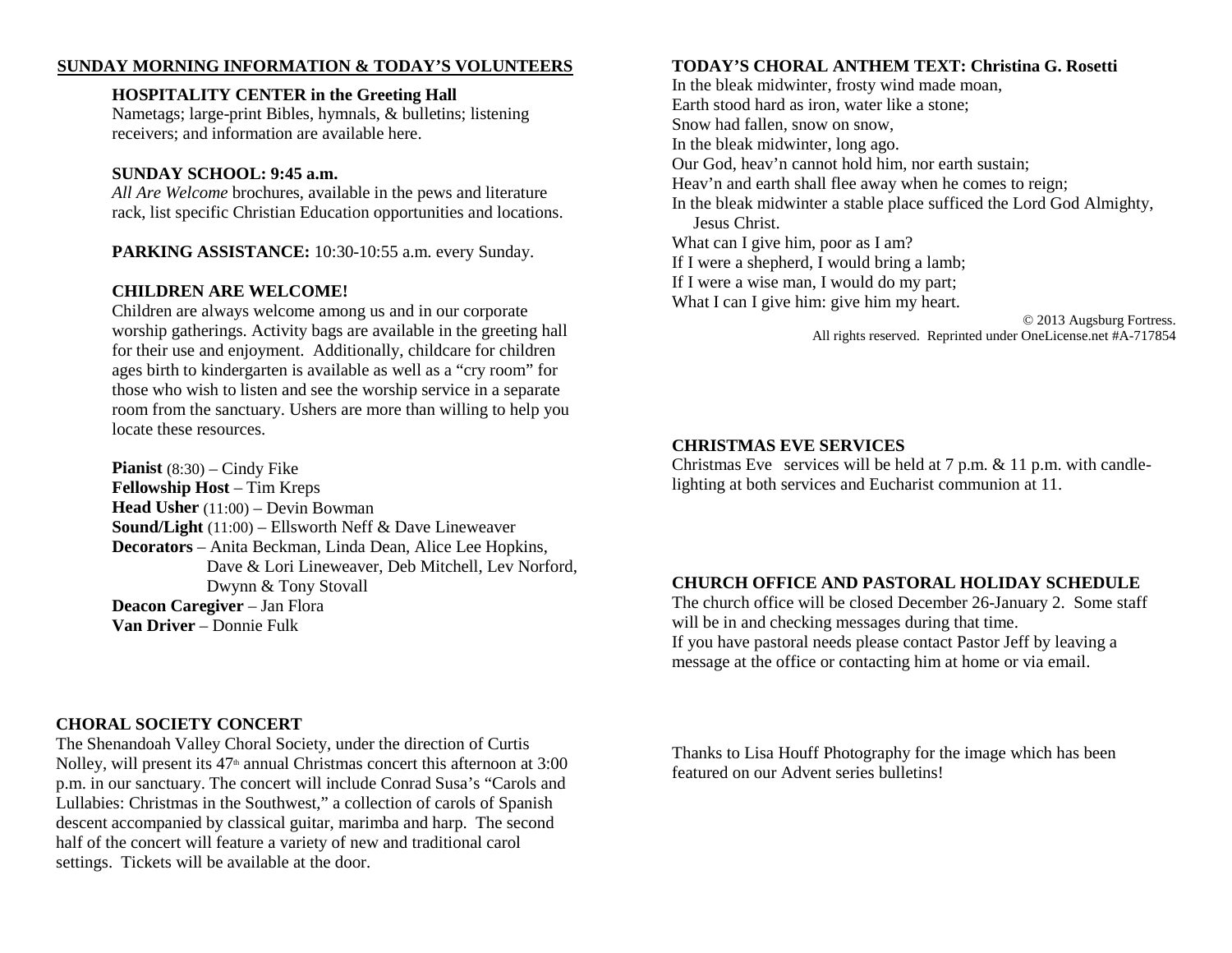#### **SUNDAY MORNING INFORMATION & TODAY'S VOLUNTEERS**

#### **HOSPITALITY CENTER in the Greeting Hall**

Nametags; large-print Bibles, hymnals, & bulletins; listening receivers; and information are available here.

#### **SUNDAY SCHOOL: 9:45 a.m.**

*All Are Welcome* brochures, available in the pews and literature rack, list specific Christian Education opportunities and locations.

**PARKING ASSISTANCE:** 10:30-10:55 a.m. every Sunday.

# **CHILDREN ARE WELCOME!**

Children are always welcome among us and in our corporate worship gatherings. Activity bags are available in the greeting hall for their use and enjoyment. Additionally, childcare for children ages birth to kindergarten is available as well as a "cry room" for those who wish to listen and see the worship service in a separate room from the sanctuary. Ushers are more than willing to help you locate these resources.

**Pianist** (8:30) – Cindy Fike **Fellowship Host** – Tim Kreps **Head Usher** (11:00) – Devin Bowman **Sound/Light** (11:00) – Ellsworth Neff & Dave Lineweaver **Decorators** – Anita Beckman, Linda Dean, Alice Lee Hopkins, Dave & Lori Lineweaver, Deb Mitchell, Lev Norford, Dwynn & Tony Stovall **Deacon Caregiver** – Jan Flora **Van Driver** – Donnie Fulk

# **CHORAL SOCIETY CONCERT**

The Shenandoah Valley Choral Society, under the direction of Curtis Nolley, will present its  $47<sup>th</sup>$  annual Christmas concert this afternoon at 3:00 p.m. in our sanctuary. The concert will include Conrad Susa's "Carols and Lullabies: Christmas in the Southwest," a collection of carols of Spanish descent accompanied by classical guitar, marimba and harp. The second half of the concert will feature a variety of new and traditional carol settings. Tickets will be available at the door.

## **TODAY'S CHORAL ANTHEM TEXT: Christina G. Rosetti**

In the bleak midwinter, frosty wind made moan, Earth stood hard as iron, water like a stone; Snow had fallen, snow on snow, In the bleak midwinter, long ago. Our God, heav'n cannot hold him, nor earth sustain; Heav'n and earth shall flee away when he comes to reign; In the bleak midwinter a stable place sufficed the Lord God Almighty, Jesus Christ. What can I give him, poor as I am? If I were a shepherd, I would bring a lamb; If I were a wise man, I would do my part; What I can I give him: give him my heart.

© 2013 Augsburg Fortress. All rights reserved. Reprinted under OneLicense.net #A-717854

# **CHRISTMAS EVE SERVICES**

Christmas Eve services will be held at 7 p.m. & 11 p.m. with candlelighting at both services and Eucharist communion at 11.

#### **CHURCH OFFICE AND PASTORAL HOLIDAY SCHEDULE**

The church office will be closed December 26-January 2. Some staff will be in and checking messages during that time. If you have pastoral needs please contact Pastor Jeff by leaving a message at the office or contacting him at home or via email.

Thanks to Lisa Houff Photography for the image which has been featured on our Advent series bulletins!